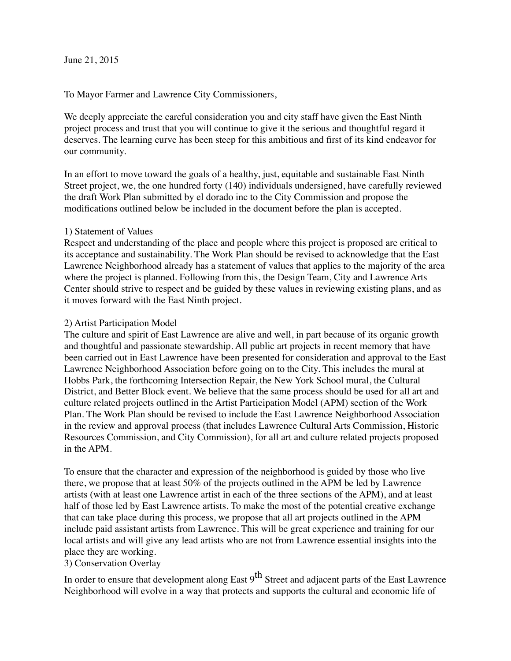June 21, 2015

To Mayor Farmer and Lawrence City Commissioners,

We deeply appreciate the careful consideration you and city staff have given the East Ninth project process and trust that you will continue to give it the serious and thoughtful regard it deserves. The learning curve has been steep for this ambitious and first of its kind endeavor for our community.

In an effort to move toward the goals of a healthy, just, equitable and sustainable East Ninth Street project, we, the one hundred forty (140) individuals undersigned, have carefully reviewed the draft Work Plan submitted by el dorado inc to the City Commission and propose the modifications outlined below be included in the document before the plan is accepted.

## 1) Statement of Values

Respect and understanding of the place and people where this project is proposed are critical to its acceptance and sustainability. The Work Plan should be revised to acknowledge that the East Lawrence Neighborhood already has a statement of values that applies to the majority of the area where the project is planned. Following from this, the Design Team, City and Lawrence Arts Center should strive to respect and be guided by these values in reviewing existing plans, and as it moves forward with the East Ninth project.

## 2) Artist Participation Model

The culture and spirit of East Lawrence are alive and well, in part because of its organic growth and thoughtful and passionate stewardship. All public art projects in recent memory that have been carried out in East Lawrence have been presented for consideration and approval to the East Lawrence Neighborhood Association before going on to the City. This includes the mural at Hobbs Park, the forthcoming Intersection Repair, the New York School mural, the Cultural District, and Better Block event. We believe that the same process should be used for all art and culture related projects outlined in the Artist Participation Model (APM) section of the Work Plan. The Work Plan should be revised to include the East Lawrence Neighborhood Association in the review and approval process (that includes Lawrence Cultural Arts Commission, Historic Resources Commission, and City Commission), for all art and culture related projects proposed in the APM.

To ensure that the character and expression of the neighborhood is guided by those who live there, we propose that at least 50% of the projects outlined in the APM be led by Lawrence artists (with at least one Lawrence artist in each of the three sections of the APM), and at least half of those led by East Lawrence artists. To make the most of the potential creative exchange that can take place during this process, we propose that all art projects outlined in the APM include paid assistant artists from Lawrence. This will be great experience and training for our local artists and will give any lead artists who are not from Lawrence essential insights into the place they are working.

## 3) Conservation Overlay

In order to ensure that development along East  $9^{th}$  Street and adjacent parts of the East Lawrence Neighborhood will evolve in a way that protects and supports the cultural and economic life of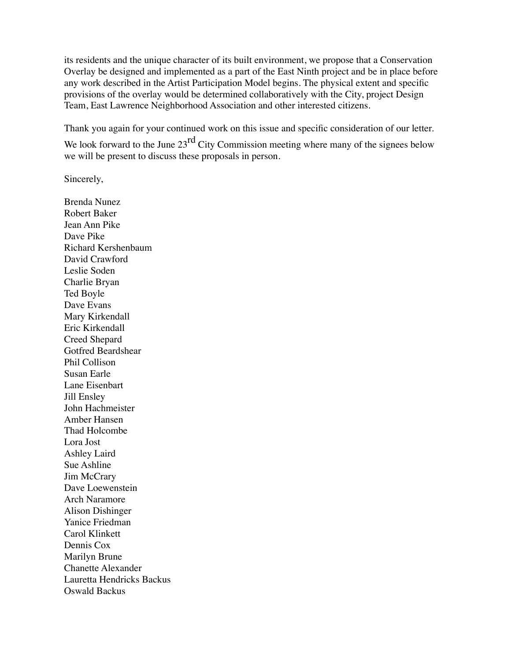its residents and the unique character of its built environment, we propose that a Conservation Overlay be designed and implemented as a part of the East Ninth project and be in place before any work described in the Artist Participation Model begins. The physical extent and specific provisions of the overlay would be determined collaboratively with the City, project Design Team, East Lawrence Neighborhood Association and other interested citizens.

Thank you again for your continued work on this issue and specific consideration of our letter.

We look forward to the June  $23<sup>rd</sup>$  City Commission meeting where many of the signees below we will be present to discuss these proposals in person.

Sincerely,

Brenda Nunez Robert Baker Jean Ann Pike Dave Pike Richard Kershenbaum David Crawford Leslie Soden Charlie Bryan Ted Boyle Dave Evans Mary Kirkendall Eric Kirkendall Creed Shepard Gotfred Beardshear Phil Collison Susan Earle Lane Eisenbart Jill Ensley John Hachmeister Amber Hansen Thad Holcombe Lora Jost Ashley Laird Sue Ashline Jim McCrary Dave Loewenstein Arch Naramore Alison Dishinger Yanice Friedman Carol Klinkett Dennis Cox Marilyn Brune Chanette Alexander Lauretta Hendricks Backus Oswald Backus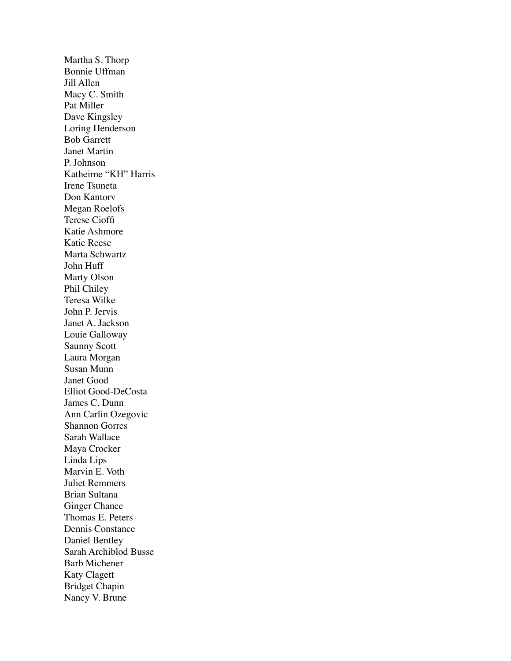Martha S. Thorp Bonnie Uffman Jill Allen Macy C. Smith Pat Miller Dave Kingsley Loring Henderson Bob Garrett Janet Martin P. Johnson Katheirne "KH" Harris Irene Tsuneta Don Kantorv Megan Roelofs Terese Cioffi Katie Ashmore Katie Reese Marta Schwartz John Huff Marty Olson Phil Chiley Teresa Wilke John P. Jervis Janet A. Jackson Louie Galloway Saunny Scott Laura Morgan Susan Munn Janet Good Elliot Good-DeCosta James C. Dunn Ann Carlin Ozegovic Shannon Gorres Sarah Wallace Maya Crocker Linda Lips Marvin E. Voth Juliet Remmers Brian Sultana Ginger Chance Thomas E. Peters Dennis Constance Daniel Bentley Sarah Archiblod Busse Barb Michener Katy Clagett Bridget Chapin Nancy V. Brune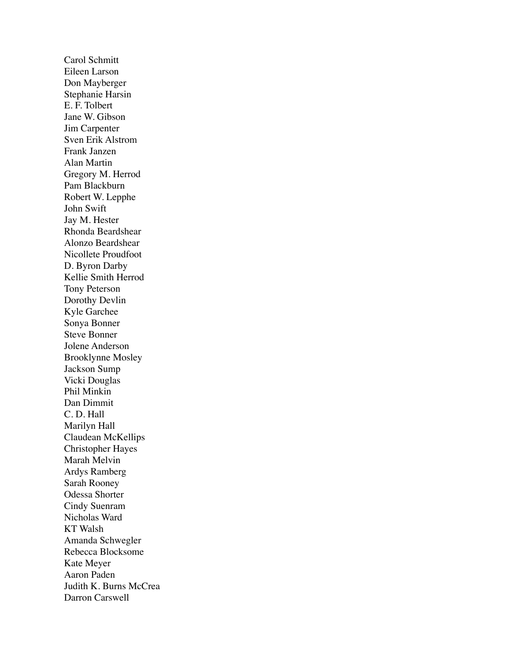Carol Schmitt Eileen Larson Don Mayberger Stephanie Harsin E. F. Tolbert Jane W. Gibson Jim Carpenter Sven Erik Alstrom Frank Janzen Alan Martin Gregory M. Herrod Pam Blackburn Robert W. Lepphe John Swift Jay M. Hester Rhonda Beardshear Alonzo Beardshear Nicollete Proudfoot D. Byron Darby Kellie Smith Herrod Tony Peterson Dorothy Devlin Kyle Garchee Sonya Bonner Steve Bonner Jolene Anderson Brooklynne Mosley Jackson Sump Vicki Douglas Phil Minkin Dan Dimmit C. D. Hall Marilyn Hall Claudean McKellips Christopher Hayes Marah Melvin Ardys Ramberg Sarah Rooney Odessa Shorter Cindy Suenram Nicholas Ward KT Walsh Amanda Schwegler Rebecca Blocksome Kate Meyer Aaron Paden Judith K. Burns McCrea Darron Carswell